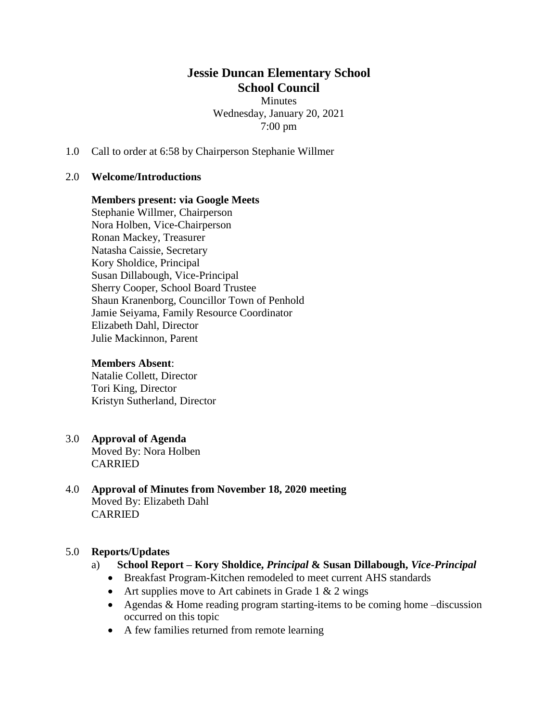## **Jessie Duncan Elementary School School Council**  Minutes

Wednesday, January 20, 2021 7:00 pm

1.0 Call to order at 6:58 by Chairperson Stephanie Willmer

#### 2.0 **Welcome/Introductions**

#### **Members present: via Google Meets**

Stephanie Willmer, Chairperson Nora Holben, Vice-Chairperson Ronan Mackey, Treasurer Natasha Caissie, Secretary Kory Sholdice, Principal Susan Dillabough, Vice-Principal Sherry Cooper, School Board Trustee Shaun Kranenborg, Councillor Town of Penhold Jamie Seiyama, Family Resource Coordinator Elizabeth Dahl, Director Julie Mackinnon, Parent

#### **Members Absent**:

Natalie Collett, Director Tori King, Director Kristyn Sutherland, Director

### 3.0 **Approval of Agenda**

Moved By: Nora Holben CARRIED

#### 4.0 **Approval of Minutes from November 18, 2020 meeting** Moved By: Elizabeth Dahl CARRIED

#### 5.0 **Reports/Updates**

- a) **School Report – Kory Sholdice,** *Principal* **& Susan Dillabough,** *Vice-Principal*
	- Breakfast Program-Kitchen remodeled to meet current AHS standards
	- Art supplies move to Art cabinets in Grade 1  $& 2$  wings
	- Agendas & Home reading program starting-items to be coming home –discussion occurred on this topic
	- A few families returned from remote learning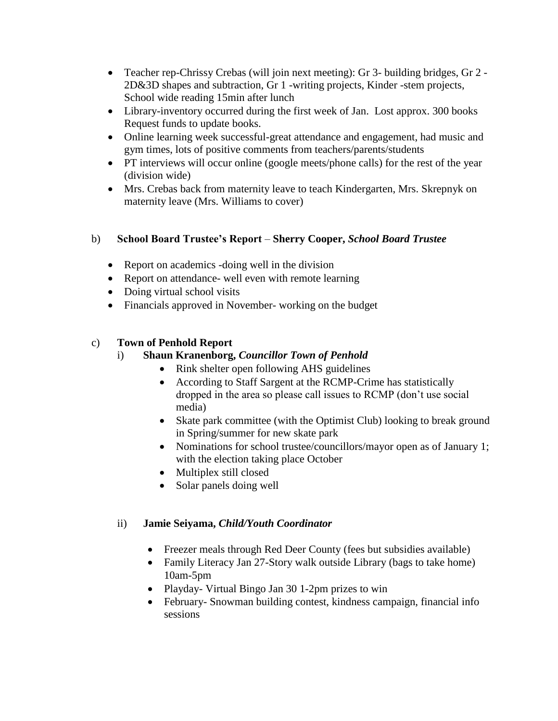- Teacher rep-Chrissy Crebas (will join next meeting): Gr 3- building bridges, Gr 2 2D&3D shapes and subtraction, Gr 1 -writing projects, Kinder -stem projects, School wide reading 15min after lunch
- Library-inventory occurred during the first week of Jan. Lost approx. 300 books Request funds to update books.
- Online learning week successful-great attendance and engagement, had music and gym times, lots of positive comments from teachers/parents/students
- PT interviews will occur online (google meets/phone calls) for the rest of the year (division wide)
- Mrs. Crebas back from maternity leave to teach Kindergarten, Mrs. Skrepnyk on maternity leave (Mrs. Williams to cover)

# b) **School Board Trustee's Report** – **Sherry Cooper,** *School Board Trustee*

- Report on academics -doing well in the division
- Report on attendance- well even with remote learning
- Doing virtual school visits
- Financials approved in November- working on the budget

# c) **Town of Penhold Report**

## i) **Shaun Kranenborg,** *Councillor Town of Penhold*

- Rink shelter open following AHS guidelines
- According to Staff Sargent at the RCMP-Crime has statistically dropped in the area so please call issues to RCMP (don't use social media)
- Skate park committee (with the Optimist Club) looking to break ground in Spring/summer for new skate park
- Nominations for school trustee/councillors/mayor open as of January 1; with the election taking place October
- Multiplex still closed
- Solar panels doing well

## ii) **Jamie Seiyama,** *Child/Youth Coordinator*

- Freezer meals through Red Deer County (fees but subsidies available)
- Family Literacy Jan 27-Story walk outside Library (bags to take home) 10am-5pm
- Playday- Virtual Bingo Jan 30 1-2pm prizes to win
- February- Snowman building contest, kindness campaign, financial info sessions